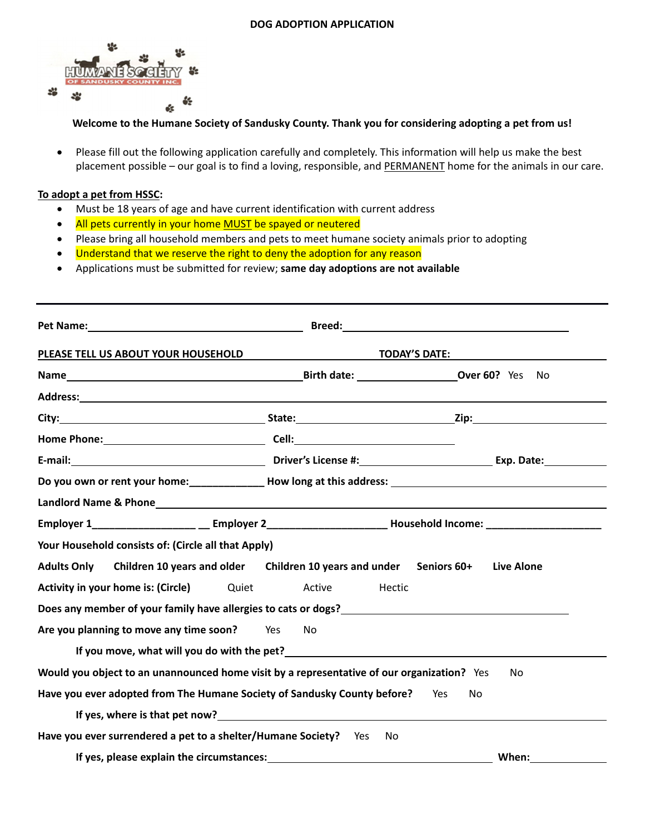## **DOG ADOPTION APPLICATION**



## **Welcome to the Humane Society of Sandusky County. Thank you for considering adopting a pet from us!**

 Please fill out the following application carefully and completely. This information will help us make the best placement possible – our goal is to find a loving, responsible, and PERMANENT home for the animals in our care.

## **To adopt a pet from HSSC:**

- Must be 18 years of age and have current identification with current address
- All pets currently in your home MUST be spayed or neutered
- Please bring all household members and pets to meet humane society animals prior to adopting
- Understand that we reserve the right to deny the adoption for any reason
- Applications must be submitted for review; **same day adoptions are not available**

| <b>TODAY'S DATE:</b><br>PLEASE TELL US ABOUT YOUR HOUSEHOLD                                       |                                                         |                                                                                                      |
|---------------------------------------------------------------------------------------------------|---------------------------------------------------------|------------------------------------------------------------------------------------------------------|
|                                                                                                   |                                                         | No                                                                                                   |
|                                                                                                   |                                                         |                                                                                                      |
|                                                                                                   |                                                         |                                                                                                      |
|                                                                                                   |                                                         |                                                                                                      |
|                                                                                                   |                                                         |                                                                                                      |
|                                                                                                   |                                                         | Do you own or rent your home: _________________ How long at this address: __________________________ |
|                                                                                                   |                                                         |                                                                                                      |
|                                                                                                   |                                                         |                                                                                                      |
| Your Household consists of: (Circle all that Apply)                                               |                                                         |                                                                                                      |
| <b>Adults Only</b>                                                                                | Children 10 years and older Children 10 years and under | <b>Live Alone</b><br>Seniors 60+                                                                     |
| Activity in your home is: (Circle)                                                                | Quiet<br>Active                                         | Hectic                                                                                               |
| Does any member of your family have allergies to cats or dogs?                                    |                                                         |                                                                                                      |
| Are you planning to move any time soon?                                                           | Yes<br>No.                                              |                                                                                                      |
| If you move, what will you do with the pet?<br><u>If</u> you move, what will you do with the pet? |                                                         |                                                                                                      |
| Would you object to an unannounced home visit by a representative of our organization? Yes        |                                                         | No                                                                                                   |
| Have you ever adopted from The Humane Society of Sandusky County before?                          |                                                         | Yes<br>No                                                                                            |
| If yes, where is that pet now?<br><u>If</u> yes, where is that pet now?                           |                                                         |                                                                                                      |
| Have you ever surrendered a pet to a shelter/Humane Society?                                      | Yes.                                                    | No                                                                                                   |
| If yes, please explain the circumstances:                                                         |                                                         | When:                                                                                                |